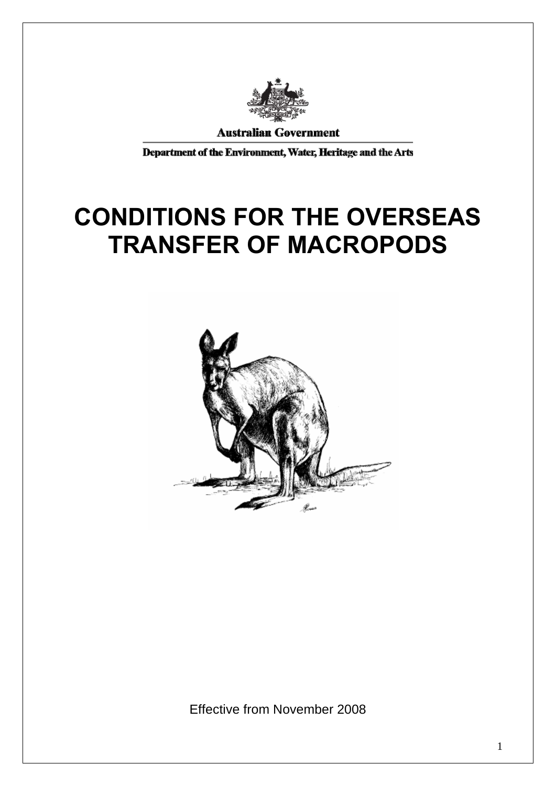

**Australian Government** 

Department of the Environment, Water, Heritage and the Arts

# **CONDITIONS FOR THE OVERSEAS TRANSFER OF MACROPODS**



Effective from November 2008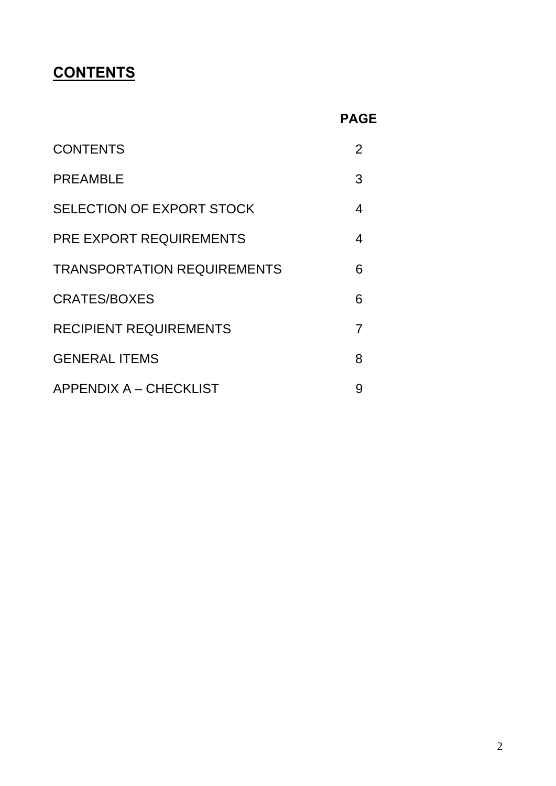# **CONTENTS**

| <b>CONTENTS</b>                    | 2 |
|------------------------------------|---|
| <b>PREAMBLE</b>                    | 3 |
| SELECTION OF EXPORT STOCK          | 4 |
| <b>PRE EXPORT REQUIREMENTS</b>     | 4 |
| <b>TRANSPORTATION REQUIREMENTS</b> | 6 |
| CRATES/BOXES                       | 6 |
| <b>RECIPIENT REQUIREMENTS</b>      | 7 |
| <b>GENERAL ITEMS</b>               | 8 |
| <b>APPENDIX A - CHECKLIST</b>      | 9 |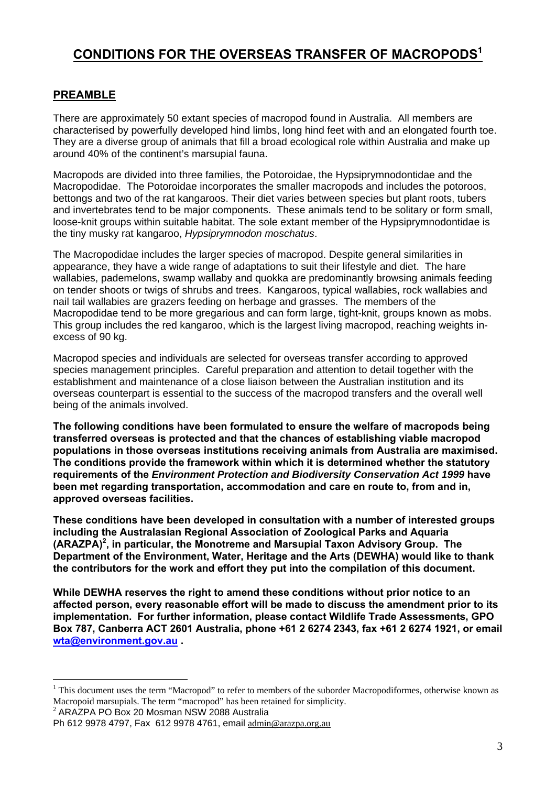# **CONDITIONS FOR THE OVERSEAS TRANSFER OF MACROPODS<sup>1</sup>**

#### **PREAMBLE**

There are approximately 50 extant species of macropod found in Australia. All members are characterised by powerfully developed hind limbs, long hind feet with and an elongated fourth toe. They are a diverse group of animals that fill a broad ecological role within Australia and make up around 40% of the continent's marsupial fauna.

Macropods are divided into three families, the Potoroidae, the Hypsiprymnodontidae and the Macropodidae. The Potoroidae incorporates the smaller macropods and includes the potoroos, bettongs and two of the rat kangaroos. Their diet varies between species but plant roots, tubers and invertebrates tend to be major components. These animals tend to be solitary or form small, loose-knit groups within suitable habitat. The sole extant member of the Hypsiprymnodontidae is the tiny musky rat kangaroo, *Hypsiprymnodon moschatus*.

The Macropodidae includes the larger species of macropod. Despite general similarities in appearance, they have a wide range of adaptations to suit their lifestyle and diet. The hare wallabies, pademelons, swamp wallaby and quokka are predominantly browsing animals feeding on tender shoots or twigs of shrubs and trees. Kangaroos, typical wallabies, rock wallabies and nail tail wallabies are grazers feeding on herbage and grasses. The members of the Macropodidae tend to be more gregarious and can form large, tight-knit, groups known as mobs. This group includes the red kangaroo, which is the largest living macropod, reaching weights inexcess of 90 kg.

Macropod species and individuals are selected for overseas transfer according to approved species management principles. Careful preparation and attention to detail together with the establishment and maintenance of a close liaison between the Australian institution and its overseas counterpart is essential to the success of the macropod transfers and the overall well being of the animals involved.

**The following conditions have been formulated to ensure the welfare of macropods being transferred overseas is protected and that the chances of establishing viable macropod populations in those overseas institutions receiving animals from Australia are maximised. The conditions provide the framework within which it is determined whether the statutory requirements of the** *Environment Protection and Biodiversity Conservation Act 1999* **have been met regarding transportation, accommodation and care en route to, from and in, approved overseas facilities.** 

**These conditions have been developed in consultation with a number of interested groups including the Australasian Regional Association of Zoological Parks and Aquaria (ARAZPA)<sup>2</sup> , in particular, the Monotreme and Marsupial Taxon Advisory Group. The Department of the Environment, Water, Heritage and the Arts (DEWHA) would like to thank the contributors for the work and effort they put into the compilation of this document.** 

**While DEWHA reserves the right to amend these conditions without prior notice to an affected person, every reasonable effort will be made to discuss the amendment prior to its implementation. For further information, please contact Wildlife Trade Assessments, GPO Box 787, Canberra ACT 2601 Australia, phone +61 2 6274 2343, fax +61 2 6274 1921, or email wta@environment.gov.au .** 

 $2$  ARAZPA PO Box 20 Mosman NSW 2088 Australia

 $\overline{a}$ 

 $1$  This document uses the term "Macropod" to refer to members of the suborder Macropodiformes, otherwise known as Macropoid marsupials. The term "macropod" has been retained for simplicity.

Ph 612 9978 4797, Fax 612 9978 4761, email <u>admin@arazpa.org.au</u><br>3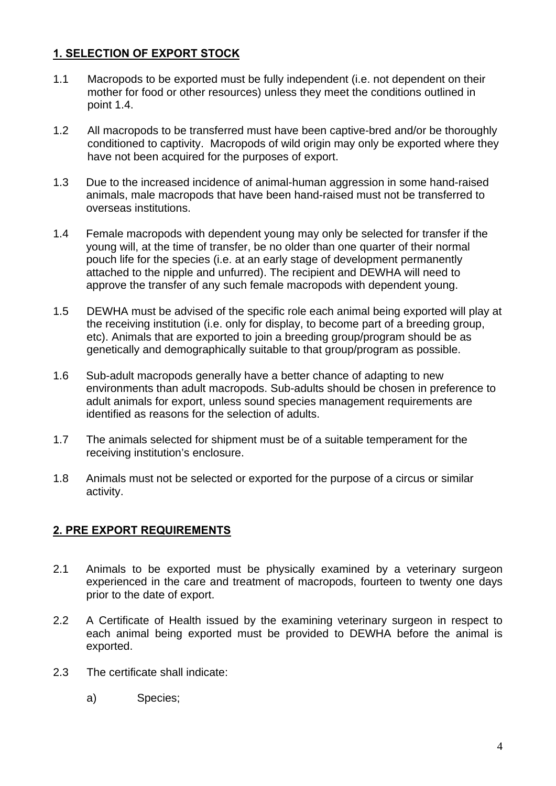# **1. SELECTION OF EXPORT STOCK**

- 1.1 Macropods to be exported must be fully independent (i.e. not dependent on their mother for food or other resources) unless they meet the conditions outlined in point 1.4.
- 1.2 All macropods to be transferred must have been captive-bred and/or be thoroughly conditioned to captivity. Macropods of wild origin may only be exported where they have not been acquired for the purposes of export.
- 1.3 Due to the increased incidence of animal-human aggression in some hand-raised animals, male macropods that have been hand-raised must not be transferred to overseas institutions.
- 1.4 Female macropods with dependent young may only be selected for transfer if the young will, at the time of transfer, be no older than one quarter of their normal pouch life for the species (i.e. at an early stage of development permanently attached to the nipple and unfurred). The recipient and DEWHA will need to approve the transfer of any such female macropods with dependent young.
- 1.5 DEWHA must be advised of the specific role each animal being exported will play at the receiving institution (i.e. only for display, to become part of a breeding group, etc). Animals that are exported to join a breeding group/program should be as genetically and demographically suitable to that group/program as possible.
- 1.6 Sub-adult macropods generally have a better chance of adapting to new environments than adult macropods. Sub-adults should be chosen in preference to adult animals for export, unless sound species management requirements are identified as reasons for the selection of adults.
- 1.7 The animals selected for shipment must be of a suitable temperament for the receiving institution's enclosure.
- 1.8 Animals must not be selected or exported for the purpose of a circus or similar activity.

#### **2. PRE EXPORT REQUIREMENTS**

- 2.1 Animals to be exported must be physically examined by a veterinary surgeon experienced in the care and treatment of macropods, fourteen to twenty one days prior to the date of export.
- 2.2 A Certificate of Health issued by the examining veterinary surgeon in respect to each animal being exported must be provided to DEWHA before the animal is exported.
- 2.3 The certificate shall indicate:
	- a) Species;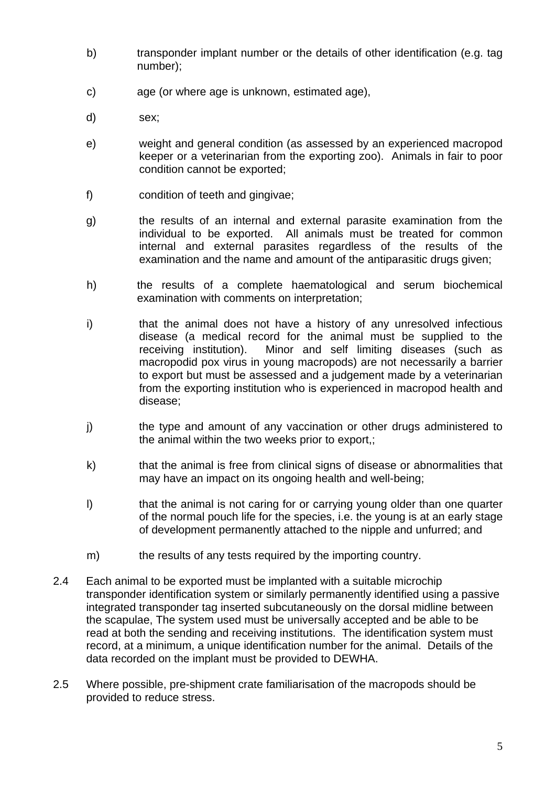- b) transponder implant number or the details of other identification (e.g. tag number);
- c) age (or where age is unknown, estimated age),
- d) sex;
- e) weight and general condition (as assessed by an experienced macropod keeper or a veterinarian from the exporting zoo). Animals in fair to poor condition cannot be exported;
- f) condition of teeth and gingivae;
- g) the results of an internal and external parasite examination from the individual to be exported. All animals must be treated for common internal and external parasites regardless of the results of the examination and the name and amount of the antiparasitic drugs given;
- h) the results of a complete haematological and serum biochemical examination with comments on interpretation;
- i) that the animal does not have a history of any unresolved infectious disease (a medical record for the animal must be supplied to the receiving institution). Minor and self limiting diseases (such as macropodid pox virus in young macropods) are not necessarily a barrier to export but must be assessed and a judgement made by a veterinarian from the exporting institution who is experienced in macropod health and disease;
- j) the type and amount of any vaccination or other drugs administered to the animal within the two weeks prior to export,;
- k) that the animal is free from clinical signs of disease or abnormalities that may have an impact on its ongoing health and well-being;
- I) that the animal is not caring for or carrying young older than one quarter of the normal pouch life for the species, i.e. the young is at an early stage of development permanently attached to the nipple and unfurred; and
- m) the results of any tests required by the importing country.
- 2.4 Each animal to be exported must be implanted with a suitable microchip transponder identification system or similarly permanently identified using a passive integrated transponder tag inserted subcutaneously on the dorsal midline between the scapulae, The system used must be universally accepted and be able to be read at both the sending and receiving institutions. The identification system must record, at a minimum, a unique identification number for the animal. Details of the data recorded on the implant must be provided to DEWHA.
- 2.5 Where possible, pre-shipment crate familiarisation of the macropods should be provided to reduce stress.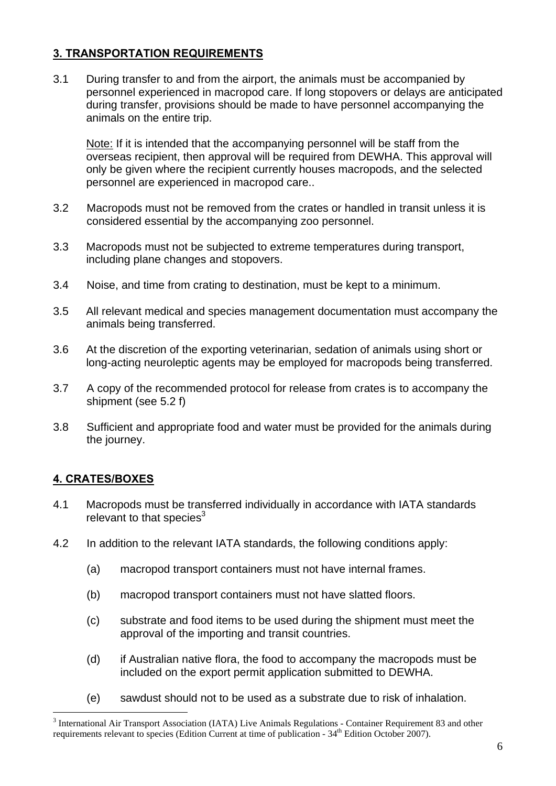# **3. TRANSPORTATION REQUIREMENTS**

3.1 During transfer to and from the airport, the animals must be accompanied by personnel experienced in macropod care. If long stopovers or delays are anticipated during transfer, provisions should be made to have personnel accompanying the animals on the entire trip.

Note: If it is intended that the accompanying personnel will be staff from the overseas recipient, then approval will be required from DEWHA. This approval will only be given where the recipient currently houses macropods, and the selected personnel are experienced in macropod care..

- 3.2 Macropods must not be removed from the crates or handled in transit unless it is considered essential by the accompanying zoo personnel.
- 3.3 Macropods must not be subjected to extreme temperatures during transport, including plane changes and stopovers.
- 3.4 Noise, and time from crating to destination, must be kept to a minimum.
- 3.5 All relevant medical and species management documentation must accompany the animals being transferred.
- 3.6 At the discretion of the exporting veterinarian, sedation of animals using short or long-acting neuroleptic agents may be employed for macropods being transferred.
- 3.7 A copy of the recommended protocol for release from crates is to accompany the shipment (see 5.2 f)
- 3.8 Sufficient and appropriate food and water must be provided for the animals during the journey.

#### **4. CRATES/BOXES**

 $\overline{a}$ 

- 4.1 Macropods must be transferred individually in accordance with IATA standards relevant to that species<sup>3</sup>
- 4.2 In addition to the relevant IATA standards, the following conditions apply:
	- (a) macropod transport containers must not have internal frames.
	- (b) macropod transport containers must not have slatted floors.
	- (c) substrate and food items to be used during the shipment must meet the approval of the importing and transit countries.
	- (d) if Australian native flora, the food to accompany the macropods must be included on the export permit application submitted to DEWHA.
	- (e) sawdust should not to be used as a substrate due to risk of inhalation.

<sup>&</sup>lt;sup>3</sup> International Air Transport Association (IATA) Live Animals Regulations - Container Requirement 83 and other requirements relevant to species (Edition Current at time of publication -  $34<sup>th</sup>$  Edition October 2007).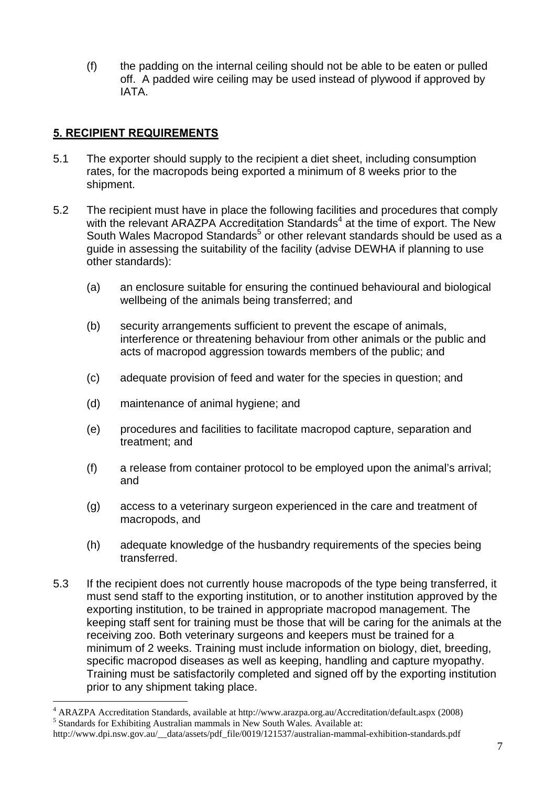(f) the padding on the internal ceiling should not be able to be eaten or pulled off. A padded wire ceiling may be used instead of plywood if approved by IATA.

#### **5. RECIPIENT REQUIREMENTS**

 $\overline{a}$ 

- 5.1 The exporter should supply to the recipient a diet sheet, including consumption rates, for the macropods being exported a minimum of 8 weeks prior to the shipment.
- 5.2 The recipient must have in place the following facilities and procedures that comply with the relevant ARAZPA Accreditation Standards<sup>4</sup> at the time of export. The New South Wales Macropod Standards<sup>5</sup> or other relevant standards should be used as a guide in assessing the suitability of the facility (advise DEWHA if planning to use other standards):
	- (a) an enclosure suitable for ensuring the continued behavioural and biological wellbeing of the animals being transferred; and
	- (b) security arrangements sufficient to prevent the escape of animals, interference or threatening behaviour from other animals or the public and acts of macropod aggression towards members of the public; and
	- (c) adequate provision of feed and water for the species in question; and
	- (d) maintenance of animal hygiene; and
	- (e) procedures and facilities to facilitate macropod capture, separation and treatment; and
	- (f) a release from container protocol to be employed upon the animal's arrival; and
	- (g) access to a veterinary surgeon experienced in the care and treatment of macropods, and
	- (h) adequate knowledge of the husbandry requirements of the species being transferred.
- 5.3 If the recipient does not currently house macropods of the type being transferred, it must send staff to the exporting institution, or to another institution approved by the exporting institution, to be trained in appropriate macropod management. The keeping staff sent for training must be those that will be caring for the animals at the receiving zoo. Both veterinary surgeons and keepers must be trained for a minimum of 2 weeks. Training must include information on biology, diet, breeding, specific macropod diseases as well as keeping, handling and capture myopathy. Training must be satisfactorily completed and signed off by the exporting institution prior to any shipment taking place.

<sup>&</sup>lt;sup>4</sup> ARAZPA Accreditation Standards, available at http://www.arazpa.org.au/Accreditation/default.aspx (2008)  $\frac{5 \text{ Standerde for Erhibitive}$  Australian mammals in Naw South Wales, Australiable st.  $5$  Standards for Exhibiting Australian mammals in New South Wales. Available at:

http://www.dpi.nsw.gov.au/\_\_data/assets/pdf\_file/0019/121537/australian-mammal-exhibition-standards.pdf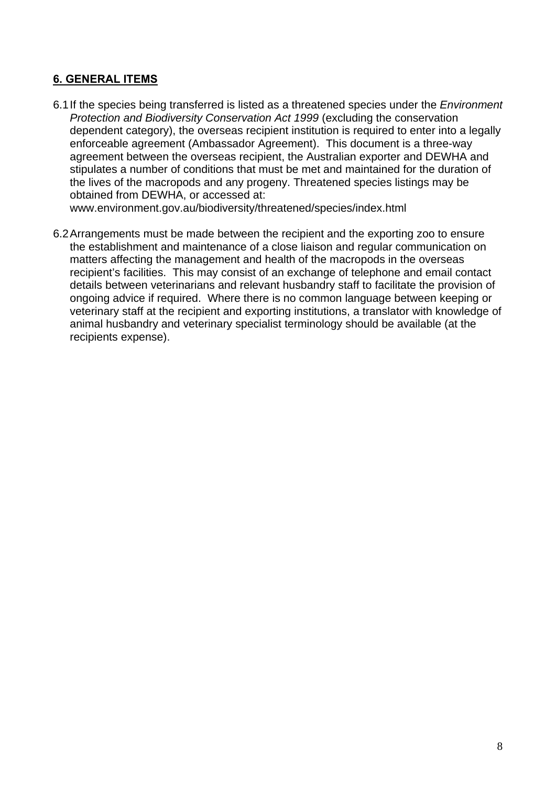#### **6. GENERAL ITEMS**

6.1If the species being transferred is listed as a threatened species under the *Environment Protection and Biodiversity Conservation Act 1999* (excluding the conservation dependent category), the overseas recipient institution is required to enter into a legally enforceable agreement (Ambassador Agreement). This document is a three-way agreement between the overseas recipient, the Australian exporter and DEWHA and stipulates a number of conditions that must be met and maintained for the duration of the lives of the macropods and any progeny. Threatened species listings may be obtained from DEWHA, or accessed at:

www.environment.gov.au/biodiversity/threatened/species/index.html

6.2Arrangements must be made between the recipient and the exporting zoo to ensure the establishment and maintenance of a close liaison and regular communication on matters affecting the management and health of the macropods in the overseas recipient's facilities. This may consist of an exchange of telephone and email contact details between veterinarians and relevant husbandry staff to facilitate the provision of ongoing advice if required. Where there is no common language between keeping or veterinary staff at the recipient and exporting institutions, a translator with knowledge of animal husbandry and veterinary specialist terminology should be available (at the recipients expense).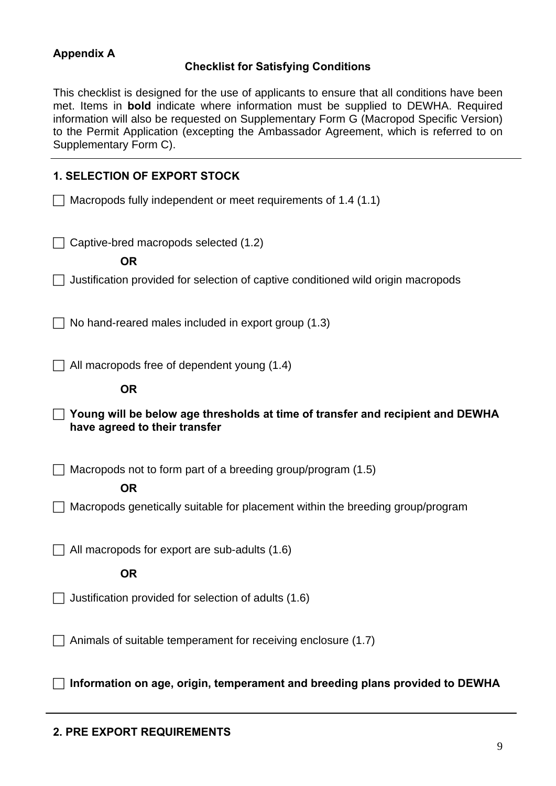### **Appendix A**

#### **Checklist for Satisfying Conditions**

This checklist is designed for the use of applicants to ensure that all conditions have been met. Items in **bold** indicate where information must be supplied to DEWHA. Required information will also be requested on Supplementary Form G (Macropod Specific Version) to the Permit Application (excepting the Ambassador Agreement, which is referred to on Supplementary Form C).

#### **1. SELECTION OF EXPORT STOCK**

 $\Box$  Macropods fully independent or meet requirements of 1.4 (1.1)

 $\Box$  Captive-bred macropods selected (1.2)

**OR** 

 $\Box$  Justification provided for selection of captive conditioned wild origin macropods

 $\Box$  No hand-reared males included in export group (1.3)

 $\Box$  All macropods free of dependent young (1.4)

#### **OR**

 **Young will be below age thresholds at time of transfer and recipient and DEWHA have agreed to their transfer** 

 $\Box$  Macropods not to form part of a breeding group/program (1.5)

#### **OR**

 $\Box$  Macropods genetically suitable for placement within the breeding group/program

 $\Box$  All macropods for export are sub-adults (1.6)

**OR** 

 $\Box$  Justification provided for selection of adults (1.6)

 $\Box$  Animals of suitable temperament for receiving enclosure (1.7)

**Information on age, origin, temperament and breeding plans provided to DEWHA**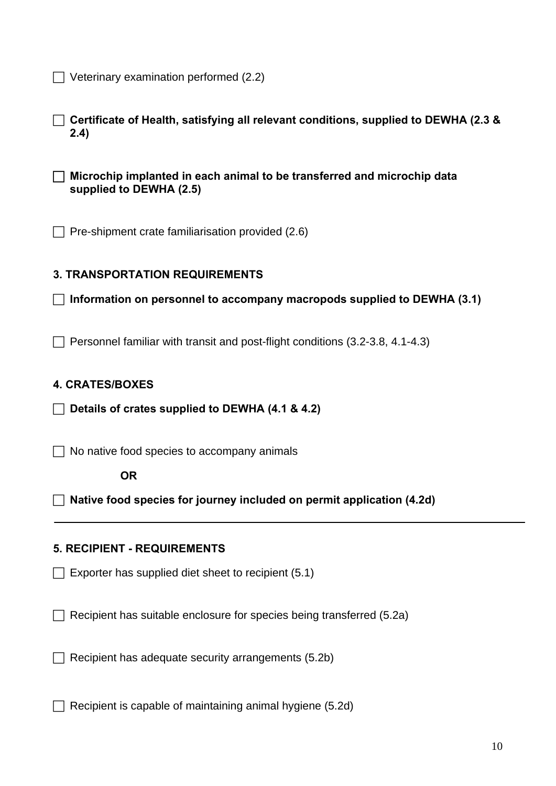$\Box$  Veterinary examination performed (2.2)

 **Certificate of Health, satisfying all relevant conditions, supplied to DEWHA (2.3 & 2.4)** 

 **Microchip implanted in each animal to be transferred and microchip data supplied to DEWHA (2.5)** 

 $\Box$  Pre-shipment crate familiarisation provided (2.6)

#### **3. TRANSPORTATION REQUIREMENTS**

**Information on personnel to accompany macropods supplied to DEWHA (3.1)** 

 $\Box$  Personnel familiar with transit and post-flight conditions (3.2-3.8, 4.1-4.3)

#### **4. CRATES/BOXES**

**Details of crates supplied to DEWHA (4.1 & 4.2)** 

 $\Box$  No native food species to accompany animals

**OR** 

**Native food species for journey included on permit application (4.2d)** 

#### **5. RECIPIENT - REQUIREMENTS**

 $\Box$  Exporter has supplied diet sheet to recipient (5.1)

 $\Box$  Recipient has suitable enclosure for species being transferred (5.2a)

 $\Box$  Recipient has adequate security arrangements (5.2b)

 $\Box$  Recipient is capable of maintaining animal hygiene (5.2d)